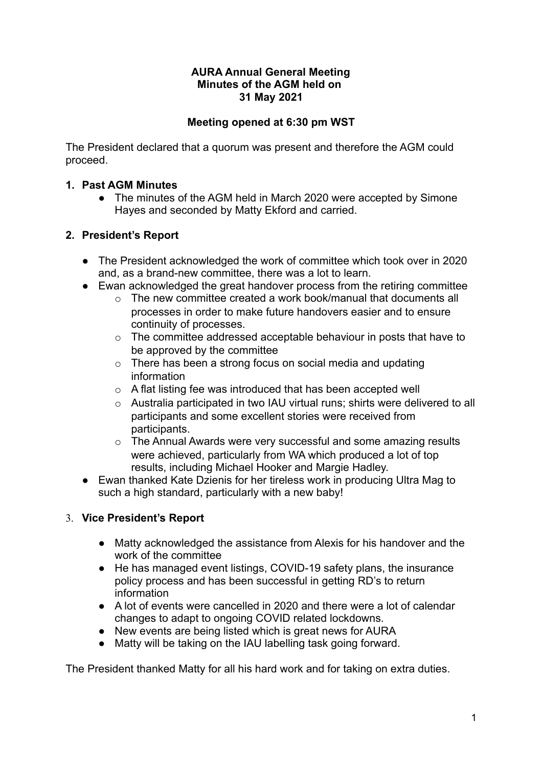### **AURA Annual General Meeting Minutes of the AGM held on 31 May 2021**

# **Meeting opened at 6:30 pm WST**

The President declared that a quorum was present and therefore the AGM could proceed.

# **1. Past AGM Minutes**

• The minutes of the AGM held in March 2020 were accepted by Simone Hayes and seconded by Matty Ekford and carried.

# **2. President's Report**

- The President acknowledged the work of committee which took over in 2020 and, as a brand-new committee, there was a lot to learn.
- Ewan acknowledged the great handover process from the retiring committee
	- o The new committee created a work book/manual that documents all processes in order to make future handovers easier and to ensure continuity of processes.
	- o The committee addressed acceptable behaviour in posts that have to be approved by the committee
	- o There has been a strong focus on social media and updating information
	- o A flat listing fee was introduced that has been accepted well
	- o Australia participated in two IAU virtual runs; shirts were delivered to all participants and some excellent stories were received from participants.
	- o The Annual Awards were very successful and some amazing results were achieved, particularly from WA which produced a lot of top results, including Michael Hooker and Margie Hadley.
- Ewan thanked Kate Dzienis for her tireless work in producing Ultra Mag to such a high standard, particularly with a new baby!

# 3. **Vice President's Report**

- Matty acknowledged the assistance from Alexis for his handover and the work of the committee
- He has managed event listings, COVID-19 safety plans, the insurance policy process and has been successful in getting RD's to return information
- A lot of events were cancelled in 2020 and there were a lot of calendar changes to adapt to ongoing COVID related lockdowns.
- New events are being listed which is great news for AURA
- Matty will be taking on the IAU labelling task going forward.

The President thanked Matty for all his hard work and for taking on extra duties.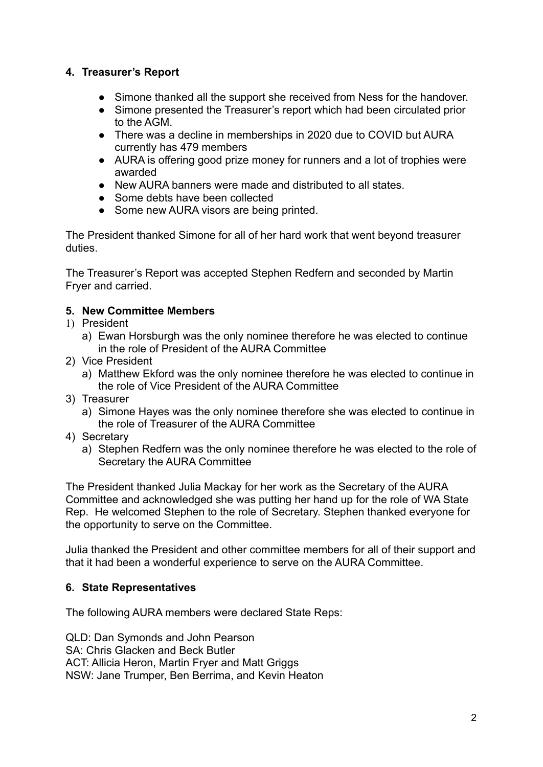# **4. Treasurer's Report**

- Simone thanked all the support she received from Ness for the handover.
- Simone presented the Treasurer's report which had been circulated prior to the AGM.
- There was a decline in memberships in 2020 due to COVID but AURA currently has 479 members
- AURA is offering good prize money for runners and a lot of trophies were awarded
- New AURA banners were made and distributed to all states.
- Some debts have been collected
- Some new AURA visors are being printed.

The President thanked Simone for all of her hard work that went beyond treasurer duties.

The Treasurer's Report was accepted Stephen Redfern and seconded by Martin Fryer and carried.

### **5. New Committee Members**

- 1) President
	- a) Ewan Horsburgh was the only nominee therefore he was elected to continue in the role of President of the AURA Committee
- 2) Vice President
	- a) Matthew Ekford was the only nominee therefore he was elected to continue in the role of Vice President of the AURA Committee
- 3) Treasurer
	- a) Simone Hayes was the only nominee therefore she was elected to continue in the role of Treasurer of the AURA Committee
- 4) Secretary
	- a) Stephen Redfern was the only nominee therefore he was elected to the role of Secretary the AURA Committee

The President thanked Julia Mackay for her work as the Secretary of the AURA Committee and acknowledged she was putting her hand up for the role of WA State Rep. He welcomed Stephen to the role of Secretary. Stephen thanked everyone for the opportunity to serve on the Committee.

Julia thanked the President and other committee members for all of their support and that it had been a wonderful experience to serve on the AURA Committee.

#### **6. State Representatives**

The following AURA members were declared State Reps:

QLD: Dan Symonds and John Pearson SA: Chris Glacken and Beck Butler ACT: Allicia Heron, Martin Fryer and Matt Griggs NSW: Jane Trumper, Ben Berrima, and Kevin Heaton